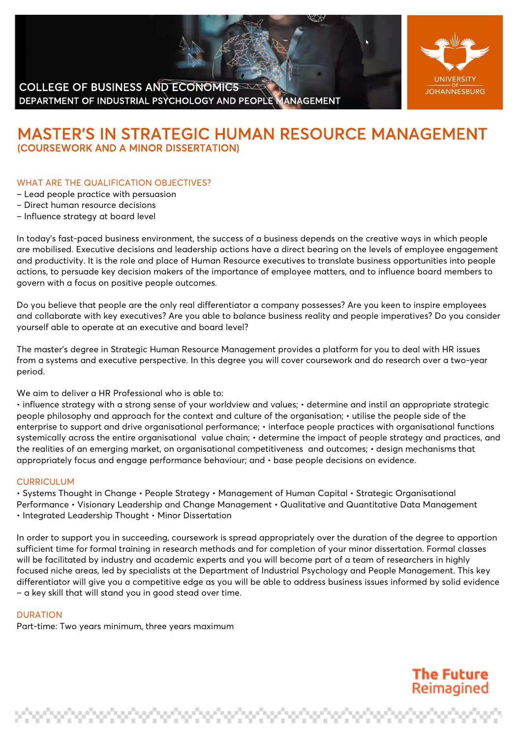# COLLEGE OF BUSINESS AND ECONOMICS DEPARTMENT OF INDUSTRIAL PSYCHOLOGY AND PEOPLE MANAGEMENT



# **MASTER'S IN STRATEGIC HUMAN RESOURCE MANAGEMENT**<br>(COURSEWORK AND A MINOR DISSERTATION)

## WHAT ARE THE QUALIFICATION OBJECTIVES?

- Lead people practice with persuasion
- Direct human resource decisions
- Influence strategy at board level

In today's fast-paced business environment, the success of a business depends on the creative ways in which people are mobilised. Executive decisions and leadership actions have a direct bearing on the levels of employee engagement and productivity. It is the role and place of Human Resource executives to translate business opportunities into people actions, to persuade key decision makers of the importance of employee matters, and to influence board members to govern with a focus on positive people outcomes.

Do you believe that people are the only real differentiator a company possesses? Are you keen to inspire employees and collaborate with key executives? Are you able to balance business reality and people imperatives? Do you consider yourself able to operate at an executive and board level?

The master's degree in Strategic Human Resource Management provides a platform for you to deal with HR issues from a systems and executive perspective. In this degree you will cover coursework and do research over a two-year period.

We aim to deliver a HR Professional who is able to:

• influence strategy with a strong sense of your worldview and values; • determine and instil an appropriate strategic people philosophy and approach for the context and culture of the organisation; • utilise the people side of the enterprise to support and drive organisational performance; • interface people practices with organisational functions systemically across the entire organisational value chain; • determine the impact of people strategy and practices, and the realities of an emerging market, on organisational competitiveness and outcomes; • design mechanisms that appropriately focus and engage performance behaviour; and • base people decisions on evidence.

#### **CURRICULUM**

• Systems Thought in Change • People Strategy • Management of Human Capital • Strategic Organisational Performance • Visionary Leadership and Change Management • Qualitative and Quantitative Data Management • Integrated Leadership Thought • Minor Dissertation

In order to support you in succeeding, coursework is spread appropriately over the duration of the degree to apportion sufficient time for formal training in research methods and for completion of your minor dissertation. Formal classes will be facilitated by industry and academic experts and you will become part of a team of researchers in highly focused niche areas, led by specialists at the Department of Industrial Psychology and People Management. This key differentiator will give you a competitive edge as you will be able to address business issues informed by solid evidence – a key skill that will stand you in good stead over time.

#### **DURATION**

Part-time: Two years minimum, three years maximum